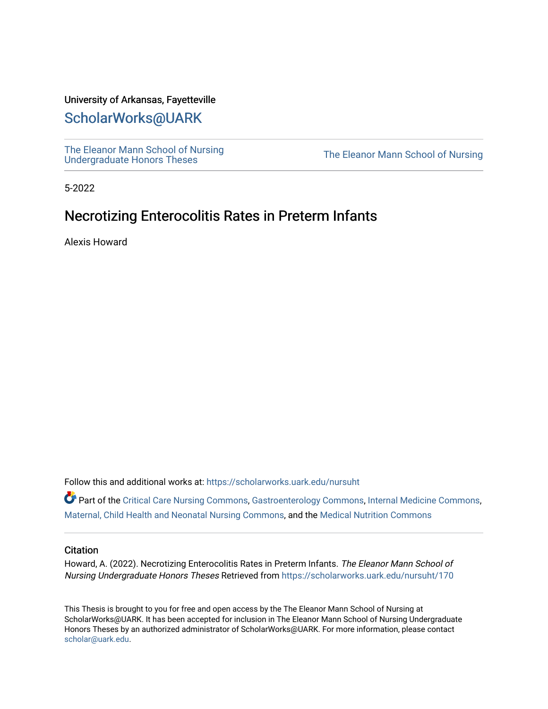### University of Arkansas, Fayetteville

## [ScholarWorks@UARK](https://scholarworks.uark.edu/)

[The Eleanor Mann School of Nursing](https://scholarworks.uark.edu/nursuht)<br>Undergraduate Honors Theses

The Eleanor Mann School of Nursing

5-2022

# Necrotizing Enterocolitis Rates in Preterm Infants

Alexis Howard

Follow this and additional works at: [https://scholarworks.uark.edu/nursuht](https://scholarworks.uark.edu/nursuht?utm_source=scholarworks.uark.edu%2Fnursuht%2F170&utm_medium=PDF&utm_campaign=PDFCoverPages)

Part of the [Critical Care Nursing Commons](http://network.bepress.com/hgg/discipline/727?utm_source=scholarworks.uark.edu%2Fnursuht%2F170&utm_medium=PDF&utm_campaign=PDFCoverPages), [Gastroenterology Commons,](http://network.bepress.com/hgg/discipline/687?utm_source=scholarworks.uark.edu%2Fnursuht%2F170&utm_medium=PDF&utm_campaign=PDFCoverPages) [Internal Medicine Commons](http://network.bepress.com/hgg/discipline/1356?utm_source=scholarworks.uark.edu%2Fnursuht%2F170&utm_medium=PDF&utm_campaign=PDFCoverPages), [Maternal, Child Health and Neonatal Nursing Commons,](http://network.bepress.com/hgg/discipline/721?utm_source=scholarworks.uark.edu%2Fnursuht%2F170&utm_medium=PDF&utm_campaign=PDFCoverPages) and the [Medical Nutrition Commons](http://network.bepress.com/hgg/discipline/675?utm_source=scholarworks.uark.edu%2Fnursuht%2F170&utm_medium=PDF&utm_campaign=PDFCoverPages) 

#### **Citation**

Howard, A. (2022). Necrotizing Enterocolitis Rates in Preterm Infants. The Eleanor Mann School of Nursing Undergraduate Honors Theses Retrieved from [https://scholarworks.uark.edu/nursuht/170](https://scholarworks.uark.edu/nursuht/170?utm_source=scholarworks.uark.edu%2Fnursuht%2F170&utm_medium=PDF&utm_campaign=PDFCoverPages) 

This Thesis is brought to you for free and open access by the The Eleanor Mann School of Nursing at ScholarWorks@UARK. It has been accepted for inclusion in The Eleanor Mann School of Nursing Undergraduate Honors Theses by an authorized administrator of ScholarWorks@UARK. For more information, please contact [scholar@uark.edu](mailto:scholar@uark.edu).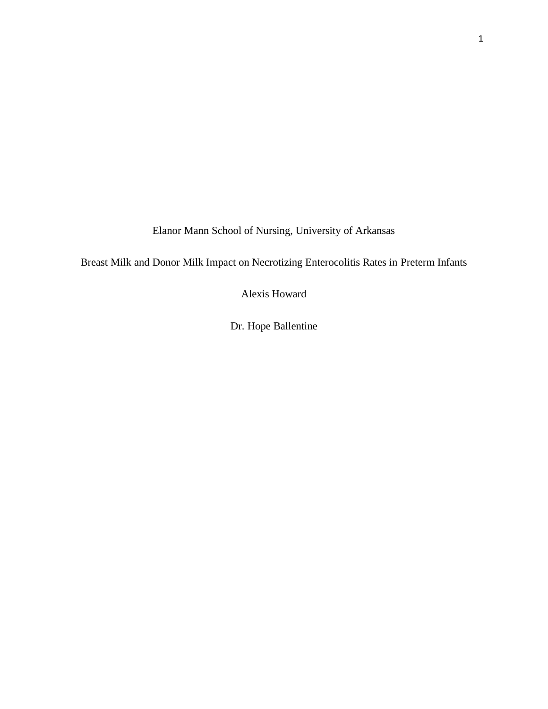Elanor Mann School of Nursing, University of Arkansas

Breast Milk and Donor Milk Impact on Necrotizing Enterocolitis Rates in Preterm Infants

Alexis Howard

Dr. Hope Ballentine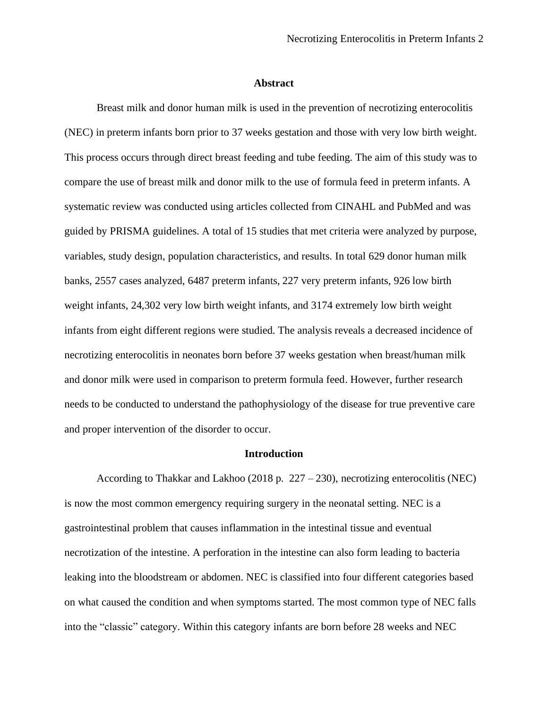#### **Abstract**

Breast milk and donor human milk is used in the prevention of necrotizing enterocolitis (NEC) in preterm infants born prior to 37 weeks gestation and those with very low birth weight. This process occurs through direct breast feeding and tube feeding. The aim of this study was to compare the use of breast milk and donor milk to the use of formula feed in preterm infants. A systematic review was conducted using articles collected from CINAHL and PubMed and was guided by PRISMA guidelines. A total of 15 studies that met criteria were analyzed by purpose, variables, study design, population characteristics, and results. In total 629 donor human milk banks, 2557 cases analyzed, 6487 preterm infants, 227 very preterm infants, 926 low birth weight infants, 24,302 very low birth weight infants, and 3174 extremely low birth weight infants from eight different regions were studied. The analysis reveals a decreased incidence of necrotizing enterocolitis in neonates born before 37 weeks gestation when breast/human milk and donor milk were used in comparison to preterm formula feed. However, further research needs to be conducted to understand the pathophysiology of the disease for true preventive care and proper intervention of the disorder to occur.

#### **Introduction**

According to Thakkar and Lakhoo (2018 p. 227 – 230), necrotizing enterocolitis (NEC) is now the most common emergency requiring surgery in the neonatal setting. NEC is a gastrointestinal problem that causes inflammation in the intestinal tissue and eventual necrotization of the intestine. A perforation in the intestine can also form leading to bacteria leaking into the bloodstream or abdomen. NEC is classified into four different categories based on what caused the condition and when symptoms started. The most common type of NEC falls into the "classic" category. Within this category infants are born before 28 weeks and NEC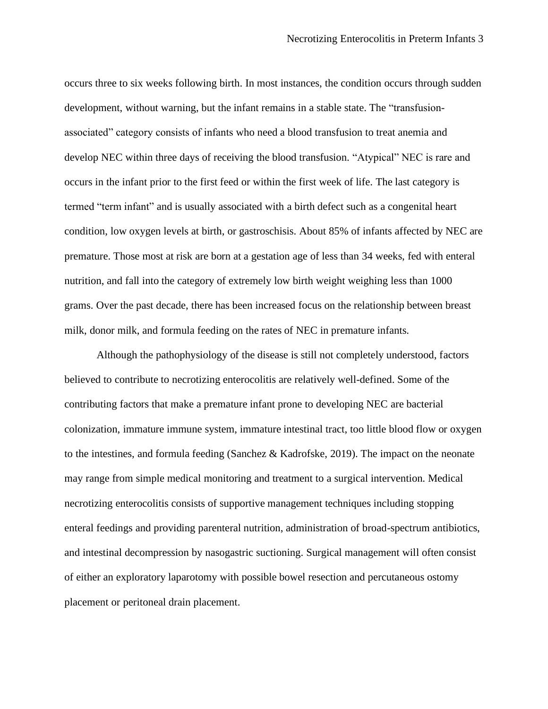occurs three to six weeks following birth. In most instances, the condition occurs through sudden development, without warning, but the infant remains in a stable state. The "transfusionassociated" category consists of infants who need a blood transfusion to treat anemia and develop NEC within three days of receiving the blood transfusion. "Atypical" NEC is rare and occurs in the infant prior to the first feed or within the first week of life. The last category is termed "term infant" and is usually associated with a birth defect such as a congenital heart condition, low oxygen levels at birth, or gastroschisis. About 85% of infants affected by NEC are premature. Those most at risk are born at a gestation age of less than 34 weeks, fed with enteral nutrition, and fall into the category of extremely low birth weight weighing less than 1000 grams. Over the past decade, there has been increased focus on the relationship between breast milk, donor milk, and formula feeding on the rates of NEC in premature infants.

Although the pathophysiology of the disease is still not completely understood, factors believed to contribute to necrotizing enterocolitis are relatively well-defined. Some of the contributing factors that make a premature infant prone to developing NEC are bacterial colonization, immature immune system, immature intestinal tract, too little blood flow or oxygen to the intestines, and formula feeding (Sanchez & Kadrofske, 2019). The impact on the neonate may range from simple medical monitoring and treatment to a surgical intervention. Medical necrotizing enterocolitis consists of supportive management techniques including stopping enteral feedings and providing parenteral nutrition, administration of broad-spectrum antibiotics, and intestinal decompression by nasogastric suctioning. Surgical management will often consist of either an exploratory laparotomy with possible bowel resection and percutaneous ostomy placement or peritoneal drain placement.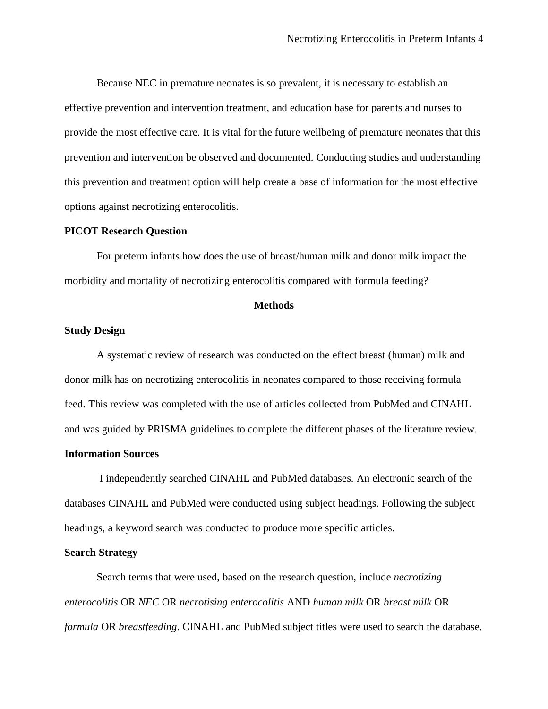Because NEC in premature neonates is so prevalent, it is necessary to establish an effective prevention and intervention treatment, and education base for parents and nurses to provide the most effective care. It is vital for the future wellbeing of premature neonates that this prevention and intervention be observed and documented. Conducting studies and understanding this prevention and treatment option will help create a base of information for the most effective options against necrotizing enterocolitis.

### **PICOT Research Question**

For preterm infants how does the use of breast/human milk and donor milk impact the morbidity and mortality of necrotizing enterocolitis compared with formula feeding?

### **Methods**

### **Study Design**

A systematic review of research was conducted on the effect breast (human) milk and donor milk has on necrotizing enterocolitis in neonates compared to those receiving formula feed. This review was completed with the use of articles collected from PubMed and CINAHL and was guided by PRISMA guidelines to complete the different phases of the literature review.

#### **Information Sources**

I independently searched CINAHL and PubMed databases. An electronic search of the databases CINAHL and PubMed were conducted using subject headings. Following the subject headings, a keyword search was conducted to produce more specific articles.

#### **Search Strategy**

Search terms that were used, based on the research question, include *necrotizing enterocolitis* OR *NEC* OR *necrotising enterocolitis* AND *human milk* OR *breast milk* OR *formula* OR *breastfeeding*. CINAHL and PubMed subject titles were used to search the database.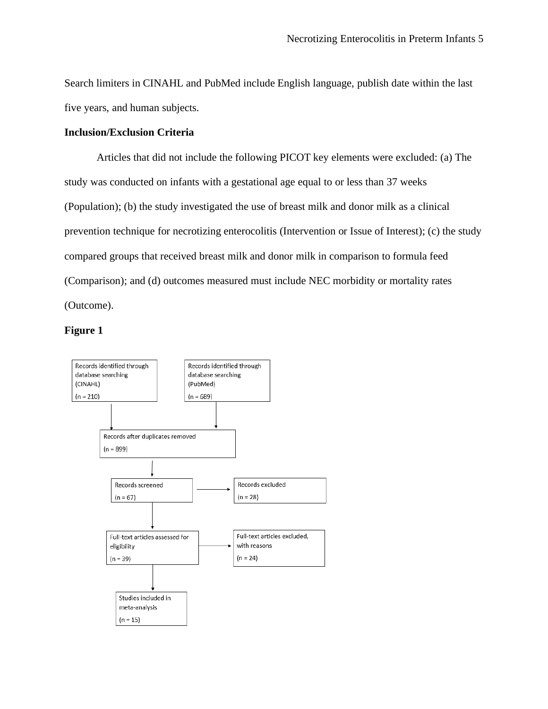Search limiters in CINAHL and PubMed include English language, publish date within the last five years, and human subjects.

### **Inclusion/Exclusion Criteria**

Articles that did not include the following PICOT key elements were excluded: (a) The study was conducted on infants with a gestational age equal to or less than 37 weeks (Population); (b) the study investigated the use of breast milk and donor milk as a clinical prevention technique for necrotizing enterocolitis (Intervention or Issue of Interest); (c) the study compared groups that received breast milk and donor milk in comparison to formula feed (Comparison); and (d) outcomes measured must include NEC morbidity or mortality rates (Outcome).

### **Figure 1**

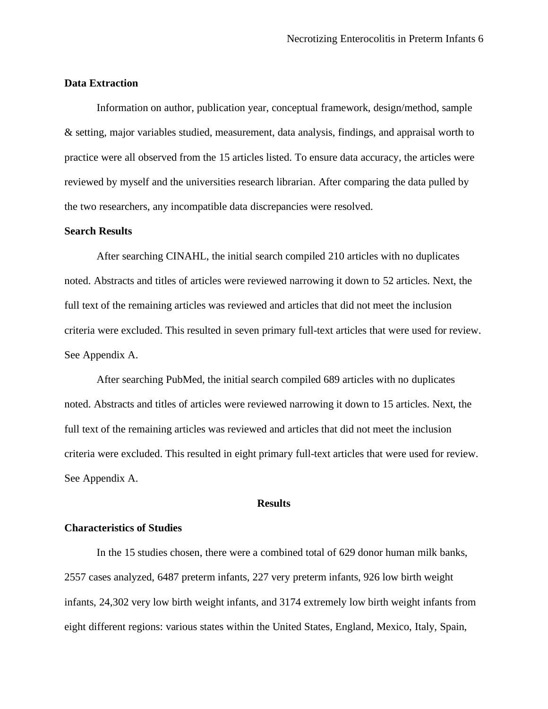### **Data Extraction**

Information on author, publication year, conceptual framework, design/method, sample & setting, major variables studied, measurement, data analysis, findings, and appraisal worth to practice were all observed from the 15 articles listed. To ensure data accuracy, the articles were reviewed by myself and the universities research librarian. After comparing the data pulled by the two researchers, any incompatible data discrepancies were resolved.

### **Search Results**

After searching CINAHL, the initial search compiled 210 articles with no duplicates noted. Abstracts and titles of articles were reviewed narrowing it down to 52 articles. Next, the full text of the remaining articles was reviewed and articles that did not meet the inclusion criteria were excluded. This resulted in seven primary full-text articles that were used for review. See Appendix A.

After searching PubMed, the initial search compiled 689 articles with no duplicates noted. Abstracts and titles of articles were reviewed narrowing it down to 15 articles. Next, the full text of the remaining articles was reviewed and articles that did not meet the inclusion criteria were excluded. This resulted in eight primary full-text articles that were used for review. See Appendix A.

#### **Results**

### **Characteristics of Studies**

In the 15 studies chosen, there were a combined total of 629 donor human milk banks, 2557 cases analyzed, 6487 preterm infants, 227 very preterm infants, 926 low birth weight infants, 24,302 very low birth weight infants, and 3174 extremely low birth weight infants from eight different regions: various states within the United States, England, Mexico, Italy, Spain,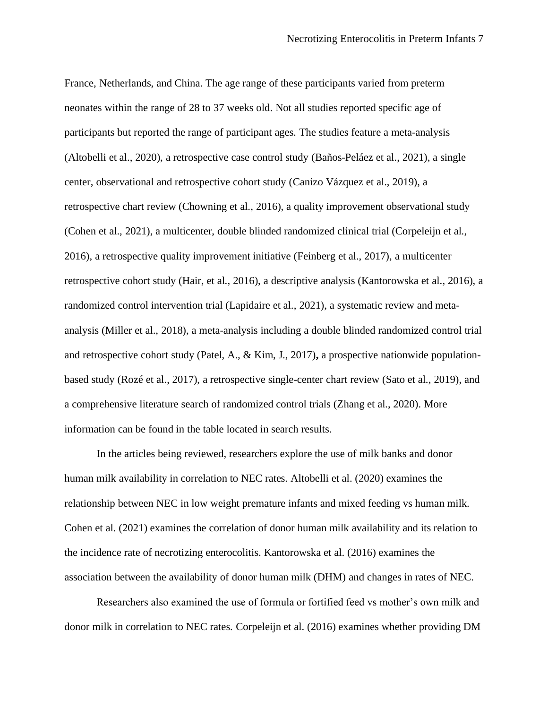France, Netherlands, and China. The age range of these participants varied from preterm neonates within the range of 28 to 37 weeks old. Not all studies reported specific age of participants but reported the range of participant ages. The studies feature a meta-analysis (Altobelli et al., 2020), a retrospective case control study (Baños-Peláez et al., 2021), a single center, observational and retrospective cohort study (Canizo Vázquez et al., 2019), a retrospective chart review (Chowning et al., 2016), a quality improvement observational study (Cohen et al., 2021), a multicenter, double blinded randomized clinical trial (Corpeleijn et al., 2016), a retrospective quality improvement initiative (Feinberg et al., 2017), a multicenter retrospective cohort study (Hair, et al., 2016), a descriptive analysis (Kantorowska et al., 2016), a randomized control intervention trial (Lapidaire et al., 2021), a systematic review and metaanalysis (Miller et al., 2018), a meta-analysis including a double blinded randomized control trial and retrospective cohort study (Patel, A., & Kim, J., 2017)**,** a prospective nationwide populationbased study (Rozé et al., 2017), a retrospective single-center chart review (Sato et al., 2019), and a comprehensive literature search of randomized control trials (Zhang et al., 2020). More information can be found in the table located in search results.

In the articles being reviewed, researchers explore the use of milk banks and donor human milk availability in correlation to NEC rates. Altobelli et al. (2020) examines the relationship between NEC in low weight premature infants and mixed feeding vs human milk. Cohen et al. (2021) examines the correlation of donor human milk availability and its relation to the incidence rate of necrotizing enterocolitis. Kantorowska et al. (2016) examines the association between the availability of donor human milk (DHM) and changes in rates of NEC.

Researchers also examined the use of formula or fortified feed vs mother's own milk and donor milk in correlation to NEC rates. Corpeleijn et al. (2016) examines whether providing DM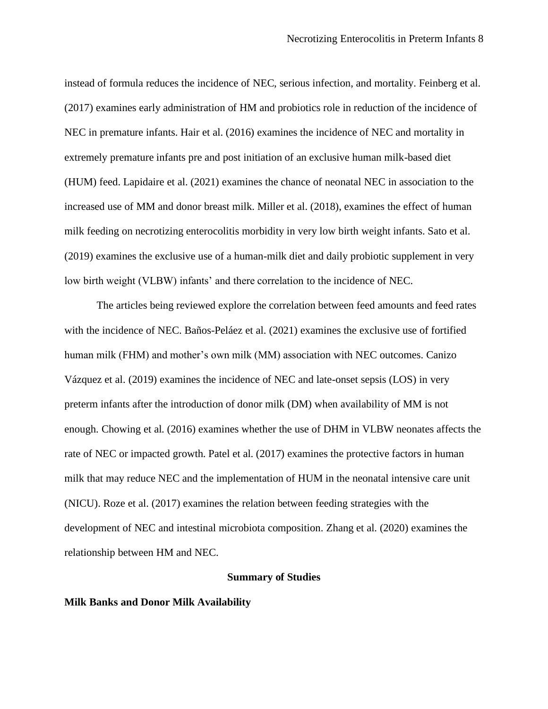instead of formula reduces the incidence of NEC, serious infection, and mortality. Feinberg et al. (2017) examines early administration of HM and probiotics role in reduction of the incidence of NEC in premature infants. Hair et al. (2016) examines the incidence of NEC and mortality in extremely premature infants pre and post initiation of an exclusive human milk-based diet (HUM) feed. Lapidaire et al. (2021) examines the chance of neonatal NEC in association to the increased use of MM and donor breast milk. Miller et al. (2018), examines the effect of human milk feeding on necrotizing enterocolitis morbidity in very low birth weight infants. Sato et al. (2019) examines the exclusive use of a human-milk diet and daily probiotic supplement in very low birth weight (VLBW) infants' and there correlation to the incidence of NEC.

The articles being reviewed explore the correlation between feed amounts and feed rates with the incidence of NEC. Baños-Peláez et al. (2021) examines the exclusive use of fortified human milk (FHM) and mother's own milk (MM) association with NEC outcomes. Canizo Vázquez et al. (2019) examines the incidence of NEC and late-onset sepsis (LOS) in very preterm infants after the introduction of donor milk (DM) when availability of MM is not enough. Chowing et al. (2016) examines whether the use of DHM in VLBW neonates affects the rate of NEC or impacted growth. Patel et al. (2017) examines the protective factors in human milk that may reduce NEC and the implementation of HUM in the neonatal intensive care unit (NICU). Roze et al. (2017) examines the relation between feeding strategies with the development of NEC and intestinal microbiota composition. Zhang et al. (2020) examines the relationship between HM and NEC.

#### **Summary of Studies**

### **Milk Banks and Donor Milk Availability**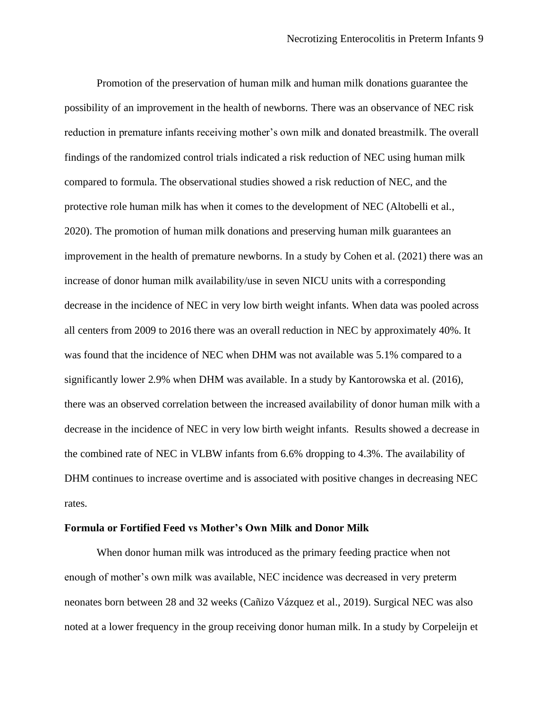Promotion of the preservation of human milk and human milk donations guarantee the possibility of an improvement in the health of newborns. There was an observance of NEC risk reduction in premature infants receiving mother's own milk and donated breastmilk. The overall findings of the randomized control trials indicated a risk reduction of NEC using human milk compared to formula. The observational studies showed a risk reduction of NEC, and the protective role human milk has when it comes to the development of NEC (Altobelli et al., 2020). The promotion of human milk donations and preserving human milk guarantees an improvement in the health of premature newborns. In a study by Cohen et al. (2021) there was an increase of donor human milk availability/use in seven NICU units with a corresponding decrease in the incidence of NEC in very low birth weight infants. When data was pooled across all centers from 2009 to 2016 there was an overall reduction in NEC by approximately 40%. It was found that the incidence of NEC when DHM was not available was 5.1% compared to a significantly lower 2.9% when DHM was available. In a study by Kantorowska et al. (2016), there was an observed correlation between the increased availability of donor human milk with a decrease in the incidence of NEC in very low birth weight infants. Results showed a decrease in the combined rate of NEC in VLBW infants from 6.6% dropping to 4.3%. The availability of DHM continues to increase overtime and is associated with positive changes in decreasing NEC rates.

### **Formula or Fortified Feed vs Mother's Own Milk and Donor Milk**

When donor human milk was introduced as the primary feeding practice when not enough of mother's own milk was available, NEC incidence was decreased in very preterm neonates born between 28 and 32 weeks (Cañizo Vázquez et al., 2019). Surgical NEC was also noted at a lower frequency in the group receiving donor human milk. In a study by Corpeleijn et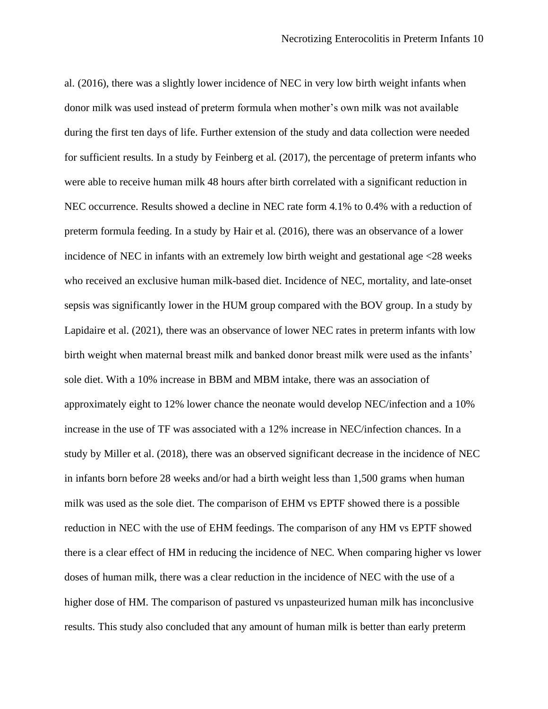al. (2016), there was a slightly lower incidence of NEC in very low birth weight infants when donor milk was used instead of preterm formula when mother's own milk was not available during the first ten days of life. Further extension of the study and data collection were needed for sufficient results. In a study by Feinberg et al. (2017), the percentage of preterm infants who were able to receive human milk 48 hours after birth correlated with a significant reduction in NEC occurrence. Results showed a decline in NEC rate form 4.1% to 0.4% with a reduction of preterm formula feeding. In a study by Hair et al. (2016), there was an observance of a lower incidence of NEC in infants with an extremely low birth weight and gestational age <28 weeks who received an exclusive human milk-based diet. Incidence of NEC, mortality, and late-onset sepsis was significantly lower in the HUM group compared with the BOV group. In a study by Lapidaire et al. (2021), there was an observance of lower NEC rates in preterm infants with low birth weight when maternal breast milk and banked donor breast milk were used as the infants' sole diet. With a 10% increase in BBM and MBM intake, there was an association of approximately eight to 12% lower chance the neonate would develop NEC/infection and a 10% increase in the use of TF was associated with a 12% increase in NEC/infection chances. In a study by Miller et al. (2018), there was an observed significant decrease in the incidence of NEC in infants born before 28 weeks and/or had a birth weight less than 1,500 grams when human milk was used as the sole diet. The comparison of EHM vs EPTF showed there is a possible reduction in NEC with the use of EHM feedings. The comparison of any HM vs EPTF showed there is a clear effect of HM in reducing the incidence of NEC. When comparing higher vs lower doses of human milk, there was a clear reduction in the incidence of NEC with the use of a higher dose of HM. The comparison of pastured vs unpasteurized human milk has inconclusive results. This study also concluded that any amount of human milk is better than early preterm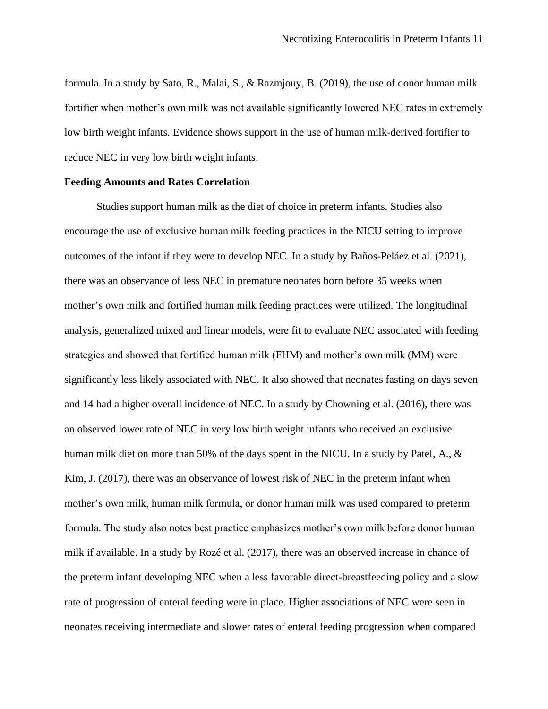formula. In a study by Sato, R., Malai, S., & Razmjouy, B. (2019), the use of donor human milk fortifier when mother's own milk was not available significantly lowered NEC rates in extremely low birth weight infants. Evidence shows support in the use of human milk-derived fortifier to reduce NEC in very low birth weight infants.

#### **Feeding Amounts and Rates Correlation**

Studies support human milk as the diet of choice in preterm infants. Studies also encourage the use of exclusive human milk feeding practices in the NICU setting to improve outcomes of the infant if they were to develop NEC. In a study by Baños-Peláez et al. (2021), there was an observance of less NEC in premature neonates born before 35 weeks when mother's own milk and fortified human milk feeding practices were utilized. The longitudinal analysis, generalized mixed and linear models, were fit to evaluate NEC associated with feeding strategies and showed that fortified human milk (FHM) and mother's own milk (MM) were significantly less likely associated with NEC. It also showed that neonates fasting on days seven and 14 had a higher overall incidence of NEC. In a study by Chowning et al. (2016), there was an observed lower rate of NEC in very low birth weight infants who received an exclusive human milk diet on more than 50% of the days spent in the NICU. In a study by Patel, A., & Kim, J. (2017), there was an observance of lowest risk of NEC in the preterm infant when mother's own milk, human milk formula, or donor human milk was used compared to preterm formula. The study also notes best practice emphasizes mother's own milk before donor human milk if available. In a study by Rozé et al. (2017), there was an observed increase in chance of the preterm infant developing NEC when a less favorable direct-breastfeeding policy and a slow rate of progression of enteral feeding were in place. Higher associations of NEC were seen in neonates receiving intermediate and slower rates of enteral feeding progression when compared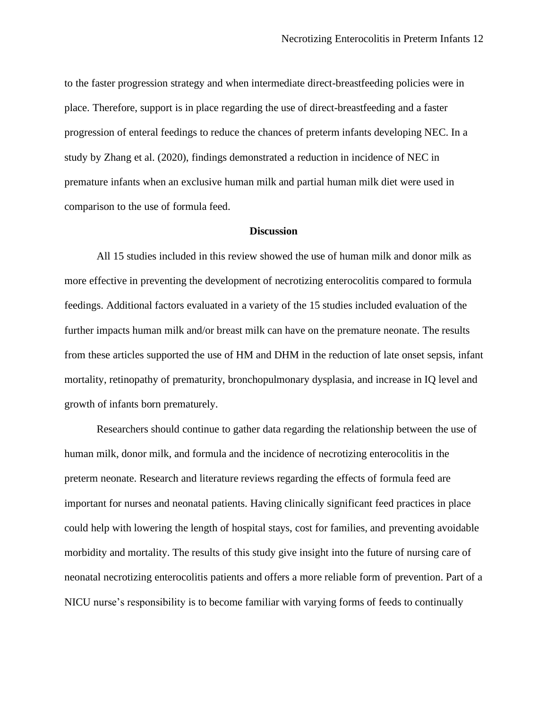to the faster progression strategy and when intermediate direct-breastfeeding policies were in place. Therefore, support is in place regarding the use of direct-breastfeeding and a faster progression of enteral feedings to reduce the chances of preterm infants developing NEC. In a study by Zhang et al. (2020), findings demonstrated a reduction in incidence of NEC in premature infants when an exclusive human milk and partial human milk diet were used in comparison to the use of formula feed.

### **Discussion**

All 15 studies included in this review showed the use of human milk and donor milk as more effective in preventing the development of necrotizing enterocolitis compared to formula feedings. Additional factors evaluated in a variety of the 15 studies included evaluation of the further impacts human milk and/or breast milk can have on the premature neonate. The results from these articles supported the use of HM and DHM in the reduction of late onset sepsis, infant mortality, retinopathy of prematurity, bronchopulmonary dysplasia, and increase in IQ level and growth of infants born prematurely.

Researchers should continue to gather data regarding the relationship between the use of human milk, donor milk, and formula and the incidence of necrotizing enterocolitis in the preterm neonate. Research and literature reviews regarding the effects of formula feed are important for nurses and neonatal patients. Having clinically significant feed practices in place could help with lowering the length of hospital stays, cost for families, and preventing avoidable morbidity and mortality. The results of this study give insight into the future of nursing care of neonatal necrotizing enterocolitis patients and offers a more reliable form of prevention. Part of a NICU nurse's responsibility is to become familiar with varying forms of feeds to continually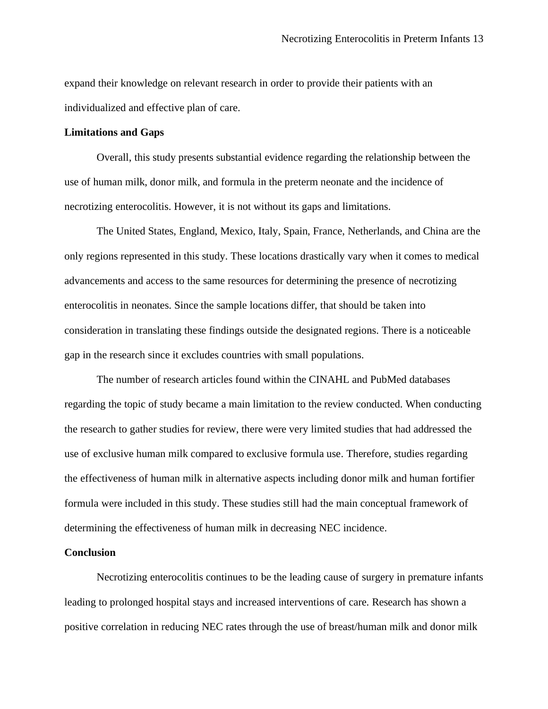expand their knowledge on relevant research in order to provide their patients with an individualized and effective plan of care.

### **Limitations and Gaps**

Overall, this study presents substantial evidence regarding the relationship between the use of human milk, donor milk, and formula in the preterm neonate and the incidence of necrotizing enterocolitis. However, it is not without its gaps and limitations.

The United States, England, Mexico, Italy, Spain, France, Netherlands, and China are the only regions represented in this study. These locations drastically vary when it comes to medical advancements and access to the same resources for determining the presence of necrotizing enterocolitis in neonates. Since the sample locations differ, that should be taken into consideration in translating these findings outside the designated regions. There is a noticeable gap in the research since it excludes countries with small populations.

The number of research articles found within the CINAHL and PubMed databases regarding the topic of study became a main limitation to the review conducted. When conducting the research to gather studies for review, there were very limited studies that had addressed the use of exclusive human milk compared to exclusive formula use. Therefore, studies regarding the effectiveness of human milk in alternative aspects including donor milk and human fortifier formula were included in this study. These studies still had the main conceptual framework of determining the effectiveness of human milk in decreasing NEC incidence.

### **Conclusion**

Necrotizing enterocolitis continues to be the leading cause of surgery in premature infants leading to prolonged hospital stays and increased interventions of care. Research has shown a positive correlation in reducing NEC rates through the use of breast/human milk and donor milk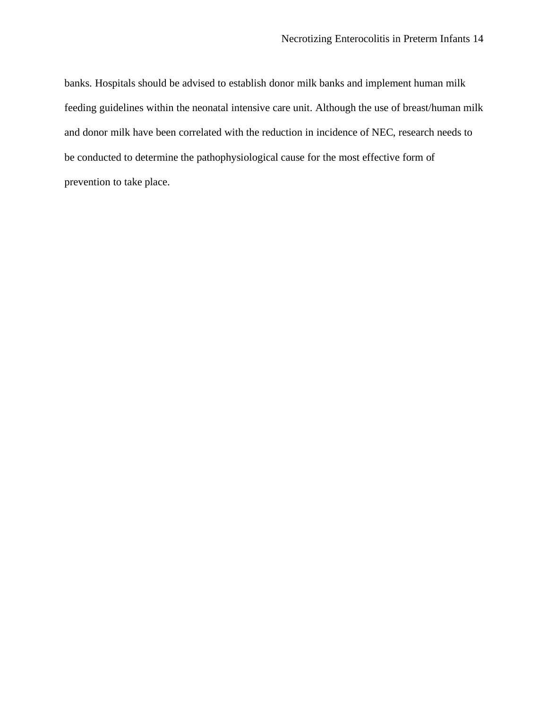banks. Hospitals should be advised to establish donor milk banks and implement human milk feeding guidelines within the neonatal intensive care unit. Although the use of breast/human milk and donor milk have been correlated with the reduction in incidence of NEC, research needs to be conducted to determine the pathophysiological cause for the most effective form of prevention to take place.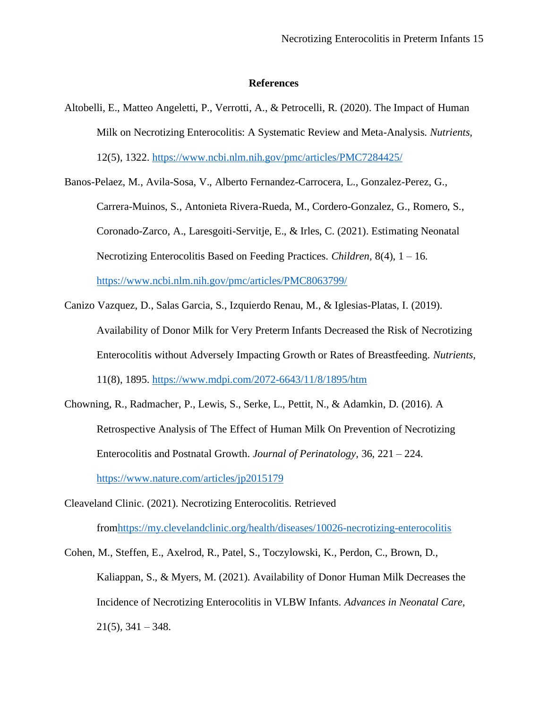#### **References**

Altobelli, E., Matteo Angeletti, P., Verrotti, A., & Petrocelli, R. (2020). The Impact of Human Milk on Necrotizing Enterocolitis: A Systematic Review and Meta-Analysis. *Nutrients,*  12(5), 1322.<https://www.ncbi.nlm.nih.gov/pmc/articles/PMC7284425/>

Banos-Pelaez, M., Avila-Sosa, V., Alberto Fernandez-Carrocera, L., Gonzalez-Perez, G., Carrera-Muinos, S., Antonieta Rivera-Rueda, M., Cordero-Gonzalez, G., Romero, S., Coronado-Zarco, A., Laresgoiti-Servitje, E., & Irles, C. (2021). Estimating Neonatal Necrotizing Enterocolitis Based on Feeding Practices. *Children,* 8(4), 1 – 16. <https://www.ncbi.nlm.nih.gov/pmc/articles/PMC8063799/>

- Canizo Vazquez, D., Salas Garcia, S., Izquierdo Renau, M., & Iglesias-Platas, I. (2019). Availability of Donor Milk for Very Preterm Infants Decreased the Risk of Necrotizing Enterocolitis without Adversely Impacting Growth or Rates of Breastfeeding. *Nutrients,*  11(8), 1895.<https://www.mdpi.com/2072-6643/11/8/1895/htm>
- Chowning, R., Radmacher, P., Lewis, S., Serke, L., Pettit, N., & Adamkin, D. (2016). A Retrospective Analysis of The Effect of Human Milk On Prevention of Necrotizing Enterocolitis and Postnatal Growth. *Journal of Perinatology,* 36, 221 – 224. <https://www.nature.com/articles/jp2015179>
- Cleaveland Clinic. (2021). Necrotizing Enterocolitis. Retrieved fro[mhttps://my.clevelandclinic.org/health/diseases/10026-necrotizing-enterocolitis](https://my.clevelandclinic.org/health/diseases/10026-necrotizing-enterocolitis)

Cohen, M., Steffen, E., Axelrod, R., Patel, S., Toczylowski, K., Perdon, C., Brown, D., Kaliappan, S., & Myers, M. (2021). Availability of Donor Human Milk Decreases the Incidence of Necrotizing Enterocolitis in VLBW Infants. *Advances in Neonatal Care,*   $21(5)$ ,  $341 - 348$ .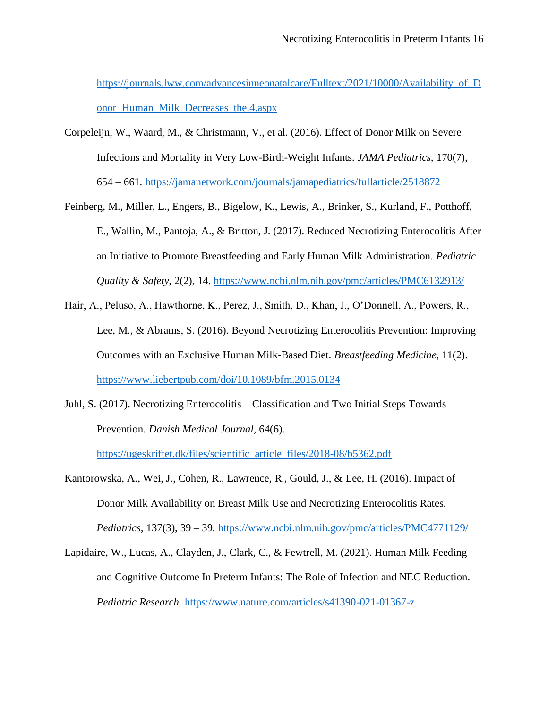https://journals.lww.com/advancesinneonatalcare/Fulltext/2021/10000/Availability of D onor Human Milk Decreases the.4.aspx

- Corpeleijn, W., Waard, M., & Christmann, V., et al. (2016). Effect of Donor Milk on Severe Infections and Mortality in Very Low-Birth-Weight Infants. *JAMA Pediatrics,* 170(7), 654 – 661.<https://jamanetwork.com/journals/jamapediatrics/fullarticle/2518872>
- Feinberg, M., Miller, L., Engers, B., Bigelow, K., Lewis, A., Brinker, S., Kurland, F., Potthoff, E., Wallin, M., Pantoja, A., & Britton, J. (2017). Reduced Necrotizing Enterocolitis After an Initiative to Promote Breastfeeding and Early Human Milk Administration. *Pediatric Quality & Safety,* 2(2), 14.<https://www.ncbi.nlm.nih.gov/pmc/articles/PMC6132913/>
- Hair, A., Peluso, A., Hawthorne, K., Perez, J., Smith, D., Khan, J., O'Donnell, A., Powers, R., Lee, M., & Abrams, S. (2016). Beyond Necrotizing Enterocolitis Prevention: Improving Outcomes with an Exclusive Human Milk-Based Diet. *Breastfeeding Medicine,* 11(2). <https://www.liebertpub.com/doi/10.1089/bfm.2015.0134>
- Juhl, S. (2017). Necrotizing Enterocolitis Classification and Two Initial Steps Towards Prevention. *Danish Medical Journal,* 64(6).

[https://ugeskriftet.dk/files/scientific\\_article\\_files/2018-08/b5362.pdf](https://ugeskriftet.dk/files/scientific_article_files/2018-08/b5362.pdf)

Kantorowska, A., Wei, J., Cohen, R., Lawrence, R., Gould, J., & Lee, H. (2016). Impact of Donor Milk Availability on Breast Milk Use and Necrotizing Enterocolitis Rates. *Pediatrics,* 137(3), 39 – 39.<https://www.ncbi.nlm.nih.gov/pmc/articles/PMC4771129/>

Lapidaire, W., Lucas, A., Clayden, J., Clark, C., & Fewtrell, M. (2021). Human Milk Feeding and Cognitive Outcome In Preterm Infants: The Role of Infection and NEC Reduction. *Pediatric Research.* <https://www.nature.com/articles/s41390-021-01367-z>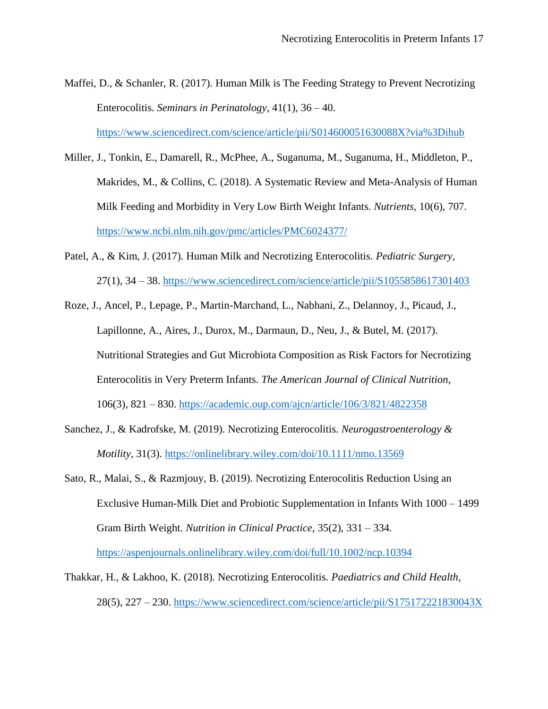Maffei, D., & Schanler, R. (2017). Human Milk is The Feeding Strategy to Prevent Necrotizing Enterocolitis. *Seminars in Perinatology,* 41(1), 36 – 40.

<https://www.sciencedirect.com/science/article/pii/S014600051630088X?via%3Dihub>

- Miller, J., Tonkin, E., Damarell, R., McPhee, A., Suganuma, M., Suganuma, H., Middleton, P., Makrides, M., & Collins, C. (2018). A Systematic Review and Meta-Analysis of Human Milk Feeding and Morbidity in Very Low Birth Weight Infants. *Nutrients,* 10(6), 707. <https://www.ncbi.nlm.nih.gov/pmc/articles/PMC6024377/>
- Patel, A., & Kim, J. (2017). Human Milk and Necrotizing Enterocolitis. *Pediatric Surgery,*  27(1), 34 – 38.<https://www.sciencedirect.com/science/article/pii/S1055858617301403>
- Roze, J., Ancel, P., Lepage, P., Martin-Marchand, L., Nabhani, Z., Delannoy, J., Picaud, J., Lapillonne, A., Aires, J., Durox, M., Darmaun, D., Neu, J., & Butel, M. (2017). Nutritional Strategies and Gut Microbiota Composition as Risk Factors for Necrotizing Enterocolitis in Very Preterm Infants. *The American Journal of Clinical Nutrition,*  106(3), 821 – 830.<https://academic.oup.com/ajcn/article/106/3/821/4822358>
- Sanchez, J., & Kadrofske, M. (2019). Necrotizing Enterocolitis. *Neurogastroenterology & Motility,* 31(3).<https://onlinelibrary.wiley.com/doi/10.1111/nmo.13569>
- Sato, R., Malai, S., & Razmjouy, B. (2019). Necrotizing Enterocolitis Reduction Using an Exclusive Human-Milk Diet and Probiotic Supplementation in Infants With 1000 – 1499 Gram Birth Weight. *Nutrition in Clinical Practice,* 35(2), 331 – 334. <https://aspenjournals.onlinelibrary.wiley.com/doi/full/10.1002/ncp.10394>
- Thakkar, H., & Lakhoo, K. (2018). Necrotizing Enterocolitis. *Paediatrics and Child Health,*  28(5), 227 – 230.<https://www.sciencedirect.com/science/article/pii/S175172221830043X>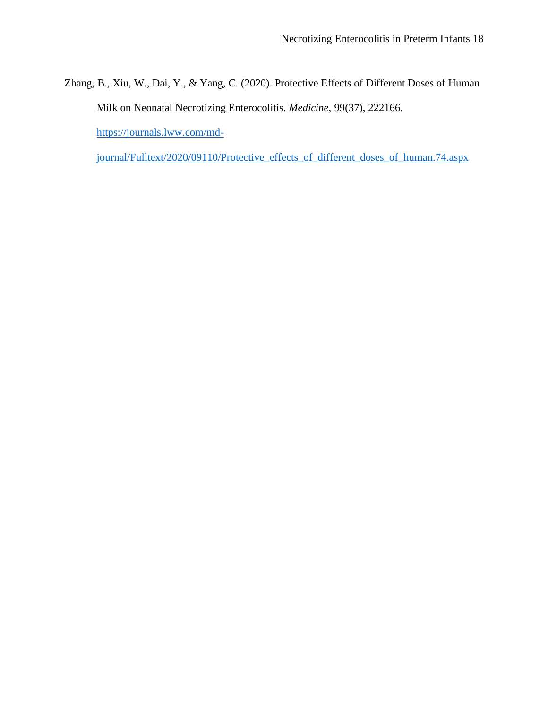Zhang, B., Xiu, W., Dai, Y., & Yang, C. (2020). Protective Effects of Different Doses of Human Milk on Neonatal Necrotizing Enterocolitis. *Medicine,* 99(37), 222166. [https://journals.lww.com/md-](https://journals.lww.com/md-journal/Fulltext/2020/09110/Protective_effects_of_different_doses_of_human.74.aspx)

[journal/Fulltext/2020/09110/Protective\\_effects\\_of\\_different\\_doses\\_of\\_human.74.aspx](https://journals.lww.com/md-journal/Fulltext/2020/09110/Protective_effects_of_different_doses_of_human.74.aspx)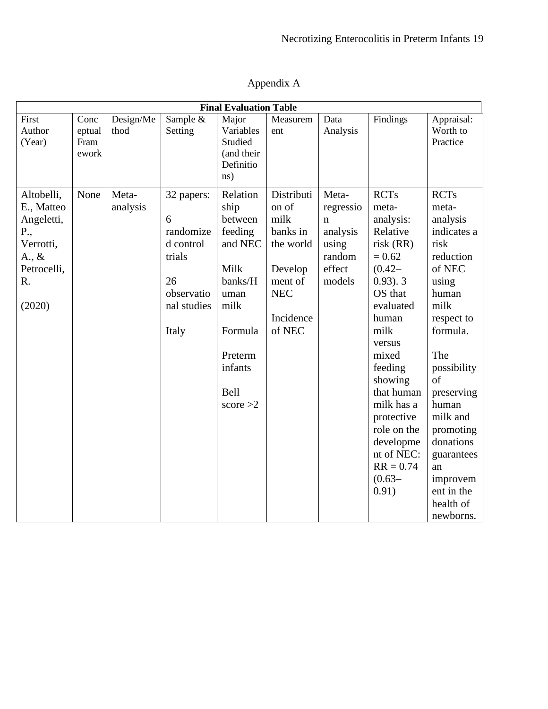| <b>Final Evaluation Table</b>                                                                                |                                 |                   |                                                                                                 |                                                                                                                                             |                                                                                                                 |                                                                            |                                                                                                                                                                                                                                                                                                               |                                                                                                                                                                                                                                                                                                     |  |
|--------------------------------------------------------------------------------------------------------------|---------------------------------|-------------------|-------------------------------------------------------------------------------------------------|---------------------------------------------------------------------------------------------------------------------------------------------|-----------------------------------------------------------------------------------------------------------------|----------------------------------------------------------------------------|---------------------------------------------------------------------------------------------------------------------------------------------------------------------------------------------------------------------------------------------------------------------------------------------------------------|-----------------------------------------------------------------------------------------------------------------------------------------------------------------------------------------------------------------------------------------------------------------------------------------------------|--|
| First<br>Author<br>(Year)                                                                                    | Conc<br>eptual<br>Fram<br>ework | Design/Me<br>thod | Sample $\overline{\&}$<br>Setting                                                               | Major<br>Variables<br>Studied<br>(and their<br>Definitio<br>ns)                                                                             | Measurem<br>ent                                                                                                 | Data<br>Analysis                                                           | Findings                                                                                                                                                                                                                                                                                                      | Appraisal:<br>Worth to<br>Practice                                                                                                                                                                                                                                                                  |  |
| Altobelli,<br>E., Matteo<br>Angeletti,<br>P.,<br>Verrotti,<br>$A_{\cdot}, \&$<br>Petrocelli,<br>R.<br>(2020) | None                            | Meta-<br>analysis | 32 papers:<br>6<br>randomize<br>d control<br>trials<br>26<br>observatio<br>nal studies<br>Italy | Relation<br>ship<br>between<br>feeding<br>and NEC<br>Milk<br>banks/H<br>uman<br>milk<br>Formula<br>Preterm<br>infants<br>Bell<br>score $>2$ | Distributi<br>on of<br>milk<br>banks in<br>the world<br>Develop<br>ment of<br><b>NEC</b><br>Incidence<br>of NEC | Meta-<br>regressio<br>n<br>analysis<br>using<br>random<br>effect<br>models | <b>RCTs</b><br>meta-<br>analysis:<br>Relative<br>risk(RR)<br>$= 0.62$<br>$(0.42 -$<br>$(0.93)$ . 3<br>OS that<br>evaluated<br>human<br>milk<br>versus<br>mixed<br>feeding<br>showing<br>that human<br>milk has a<br>protective<br>role on the<br>developme<br>nt of NEC:<br>$RR = 0.74$<br>$(0.63 -$<br>0.91) | <b>RCTs</b><br>meta-<br>analysis<br>indicates a<br>risk<br>reduction<br>of NEC<br>using<br>human<br>milk<br>respect to<br>formula.<br>The<br>possibility<br>of<br>preserving<br>human<br>milk and<br>promoting<br>donations<br>guarantees<br>an<br>improvem<br>ent in the<br>health of<br>newborns. |  |

# Appendix A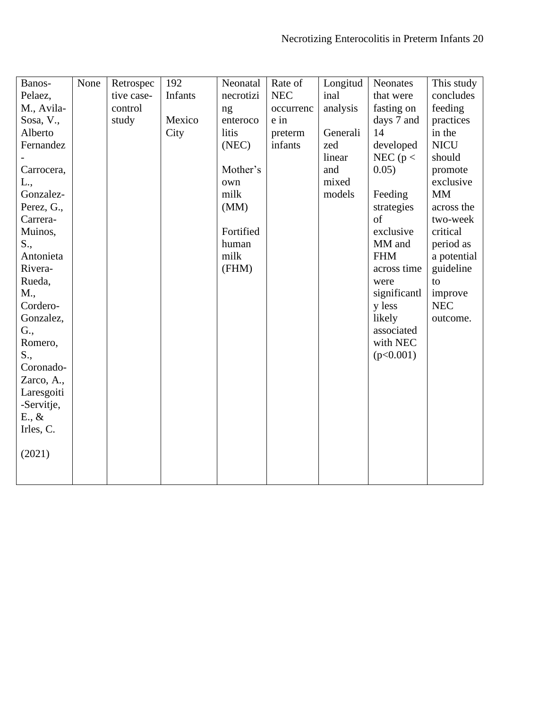| Banos-          | None | Retrospec  | 192     | Neonatal  | Rate of    | Longitud | <b>Neonates</b> | This study  |
|-----------------|------|------------|---------|-----------|------------|----------|-----------------|-------------|
| Pelaez,         |      | tive case- | Infants | necrotizi | <b>NEC</b> | inal     | that were       | concludes   |
| M., Avila-      |      | control    |         | ng        | occurrenc  | analysis | fasting on      | feeding     |
| Sosa, V.,       |      | study      | Mexico  | enteroco  | e in       |          | days 7 and      | practices   |
| Alberto         |      |            | City    | litis     | preterm    | Generali | 14              | in the      |
| Fernandez       |      |            |         | (NEC)     | infants    | zed      | developed       | <b>NICU</b> |
|                 |      |            |         |           |            | linear   | NEC ( $p <$     | should      |
| Carrocera,      |      |            |         | Mother's  |            | and      | 0.05)           | promote     |
| L.,             |      |            |         | own       |            | mixed    |                 | exclusive   |
| Gonzalez-       |      |            |         | milk      |            | models   | Feeding         | <b>MM</b>   |
| Perez, G.,      |      |            |         | (MM)      |            |          | strategies      | across the  |
| Carrera-        |      |            |         |           |            |          | of              | two-week    |
| Muinos,         |      |            |         | Fortified |            |          | exclusive       | critical    |
| S.,             |      |            |         | human     |            |          | MM and          | period as   |
| Antonieta       |      |            |         | milk      |            |          | <b>FHM</b>      | a potential |
| Rivera-         |      |            |         | (FHM)     |            |          | across time     | guideline   |
| Rueda,          |      |            |         |           |            |          | were            | to          |
| M.,             |      |            |         |           |            |          | significantl    | improve     |
| Cordero-        |      |            |         |           |            |          | y less          | <b>NEC</b>  |
| Gonzalez,       |      |            |         |           |            |          | likely          | outcome.    |
| G.,             |      |            |         |           |            |          | associated      |             |
| Romero,         |      |            |         |           |            |          | with NEC        |             |
| S.,             |      |            |         |           |            |          | (p<0.001)       |             |
| Coronado-       |      |            |         |           |            |          |                 |             |
| Zarco, A.,      |      |            |         |           |            |          |                 |             |
| Laresgoiti      |      |            |         |           |            |          |                 |             |
| -Servitje,      |      |            |         |           |            |          |                 |             |
| $E_{\cdot}, \&$ |      |            |         |           |            |          |                 |             |
| Irles, C.       |      |            |         |           |            |          |                 |             |
|                 |      |            |         |           |            |          |                 |             |
| (2021)          |      |            |         |           |            |          |                 |             |
|                 |      |            |         |           |            |          |                 |             |
|                 |      |            |         |           |            |          |                 |             |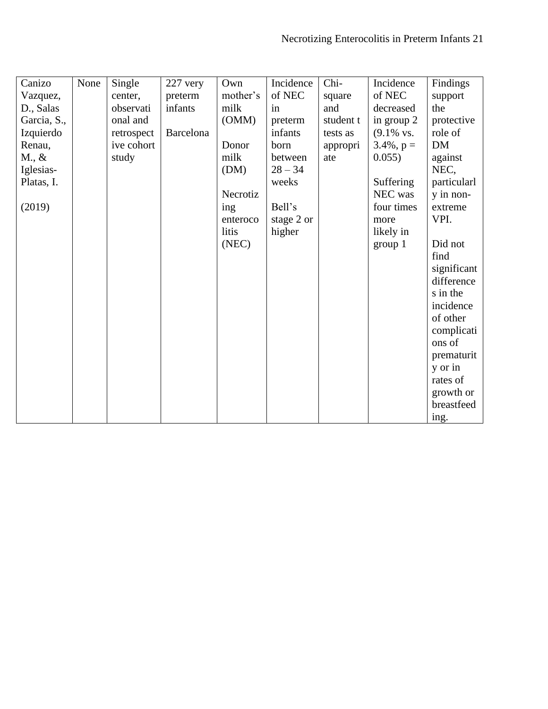| Canizo          | None | Single     | $227$ very | Own      | Incidence  | Chi-      | Incidence       | Findings    |
|-----------------|------|------------|------------|----------|------------|-----------|-----------------|-------------|
| Vazquez,        |      | center,    | preterm    | mother's | of NEC     | square    | of NEC          | support     |
| D., Salas       |      | observati  | infants    | milk     | in         | and       | decreased       | the         |
| Garcia, S.,     |      | onal and   |            | (OMM)    | preterm    | student t | in group 2      | protective  |
| Izquierdo       |      | retrospect | Barcelona  |          | infants    | tests as  | $(9.1\%$ vs.    | role of     |
| Renau,          |      | ive cohort |            | Donor    | born       | appropri  | $3.4\%$ , $p =$ | <b>DM</b>   |
| $M_{\cdot}, \&$ |      | study      |            | milk     | between    | ate       | 0.055)          | against     |
| Iglesias-       |      |            |            | (DM)     | $28 - 34$  |           |                 | NEC,        |
| Platas, I.      |      |            |            |          | weeks      |           | Suffering       | particularl |
|                 |      |            |            | Necrotiz |            |           | NEC was         | y in non-   |
| (2019)          |      |            |            | ing      | Bell's     |           | four times      | extreme     |
|                 |      |            |            | enteroco | stage 2 or |           | more            | VPI.        |
|                 |      |            |            | litis    | higher     |           | likely in       |             |
|                 |      |            |            | (NEC)    |            |           | group 1         | Did not     |
|                 |      |            |            |          |            |           |                 | find        |
|                 |      |            |            |          |            |           |                 | significant |
|                 |      |            |            |          |            |           |                 | difference  |
|                 |      |            |            |          |            |           |                 | s in the    |
|                 |      |            |            |          |            |           |                 | incidence   |
|                 |      |            |            |          |            |           |                 | of other    |
|                 |      |            |            |          |            |           |                 |             |
|                 |      |            |            |          |            |           |                 | complicati  |
|                 |      |            |            |          |            |           |                 | ons of      |
|                 |      |            |            |          |            |           |                 | prematurit  |
|                 |      |            |            |          |            |           |                 | y or in     |
|                 |      |            |            |          |            |           |                 | rates of    |
|                 |      |            |            |          |            |           |                 | growth or   |
|                 |      |            |            |          |            |           |                 | breastfeed  |
|                 |      |            |            |          |            |           |                 | ing.        |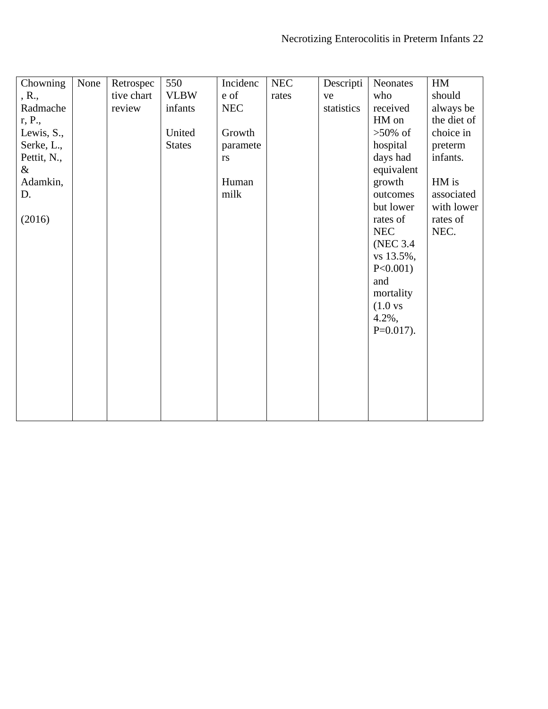| Chowning    | None | Retrospec  | 550           | Incidenc   | <b>NEC</b> | Descripti  | Neonates             | HM          |
|-------------|------|------------|---------------|------------|------------|------------|----------------------|-------------|
| , R.,       |      | tive chart | <b>VLBW</b>   | e of       | rates      | ve         | who                  | should      |
| Radmache    |      | review     | infants       | <b>NEC</b> |            | statistics | received             | always be   |
| r, P.,      |      |            |               |            |            |            | HM on                | the diet of |
| Lewis, S.,  |      |            | United        | Growth     |            |            | $>50\%$ of           | choice in   |
| Serke, L.,  |      |            | <b>States</b> | paramete   |            |            | hospital             | preterm     |
| Pettit, N., |      |            |               | rs         |            |            | days had             | infants.    |
| $\&$        |      |            |               |            |            |            | equivalent           |             |
| Adamkin,    |      |            |               | Human      |            |            | growth               | HM is       |
| D.          |      |            |               | milk       |            |            | outcomes             | associated  |
|             |      |            |               |            |            |            | but lower            | with lower  |
| (2016)      |      |            |               |            |            |            | rates of             | rates of    |
|             |      |            |               |            |            |            | <b>NEC</b>           | NEC.        |
|             |      |            |               |            |            |            | (NEC 3.4)            |             |
|             |      |            |               |            |            |            | vs 13.5%,            |             |
|             |      |            |               |            |            |            | $P<0.001$ )          |             |
|             |      |            |               |            |            |            | and                  |             |
|             |      |            |               |            |            |            | mortality            |             |
|             |      |            |               |            |            |            | (1.0 <sub>vs</sub> ) |             |
|             |      |            |               |            |            |            | $4.2\%$ ,            |             |
|             |      |            |               |            |            |            | $P=0.017$ ).         |             |
|             |      |            |               |            |            |            |                      |             |
|             |      |            |               |            |            |            |                      |             |
|             |      |            |               |            |            |            |                      |             |
|             |      |            |               |            |            |            |                      |             |
|             |      |            |               |            |            |            |                      |             |
|             |      |            |               |            |            |            |                      |             |
|             |      |            |               |            |            |            |                      |             |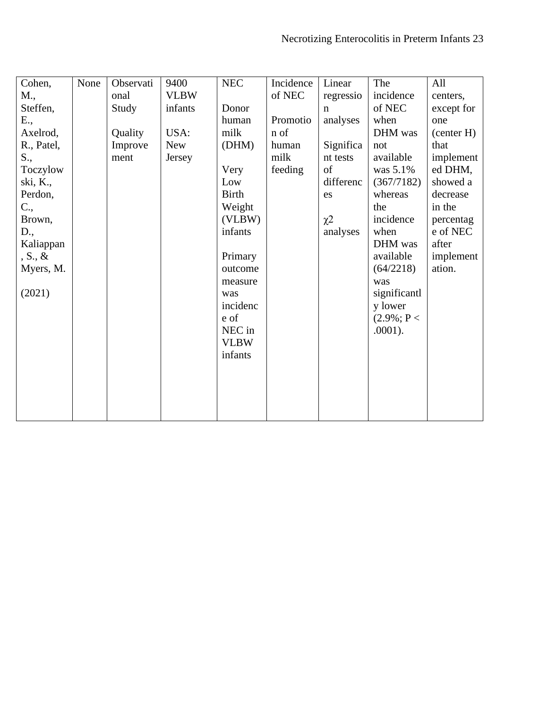| Cohen,       | None | Observati | 9400        | <b>NEC</b>   | Incidence | Linear      | The           | All        |
|--------------|------|-----------|-------------|--------------|-----------|-------------|---------------|------------|
| M.,          |      | onal      | <b>VLBW</b> |              | of NEC    | regressio   | incidence     | centers,   |
| Steffen,     |      | Study     | infants     | Donor        |           | $\mathbf n$ | of NEC        | except for |
| E.,          |      |           |             | human        | Promotio  | analyses    | when          | one        |
| Axelrod,     |      | Quality   | USA:        | milk         | n of      |             | DHM was       | (center H) |
| R., Patel,   |      | Improve   | <b>New</b>  | (DHM)        | human     | Significa   | not           | that       |
| S.,          |      | ment      | Jersey      |              | milk      | nt tests    | available     | implement  |
| Toczylow     |      |           |             | Very         | feeding   | of          | was 5.1%      | ed DHM,    |
| ski, K.,     |      |           |             | Low          |           | differenc   | (367/7182)    | showed a   |
| Perdon,      |      |           |             | <b>Birth</b> |           | es          | whereas       | decrease   |
| $C_{\cdot},$ |      |           |             | Weight       |           |             | the           | in the     |
| Brown,       |      |           |             | (VLBW)       |           | $\chi^2$    | incidence     | percentag  |
| D.,          |      |           |             | infants      |           | analyses    | when          | e of NEC   |
| Kaliappan    |      |           |             |              |           |             | DHM was       | after      |
| $S., \&$     |      |           |             | Primary      |           |             | available     | implement  |
| Myers, M.    |      |           |             | outcome      |           |             | (64/2218)     | ation.     |
|              |      |           |             | measure      |           |             | was           |            |
| (2021)       |      |           |             | was          |           |             | significantl  |            |
|              |      |           |             | incidenc     |           |             | y lower       |            |
|              |      |           |             | e of         |           |             | $(2.9\%; P <$ |            |
|              |      |           |             | NEC in       |           |             | $.0001$ ).    |            |
|              |      |           |             | <b>VLBW</b>  |           |             |               |            |
|              |      |           |             | infants      |           |             |               |            |
|              |      |           |             |              |           |             |               |            |
|              |      |           |             |              |           |             |               |            |
|              |      |           |             |              |           |             |               |            |
|              |      |           |             |              |           |             |               |            |
|              |      |           |             |              |           |             |               |            |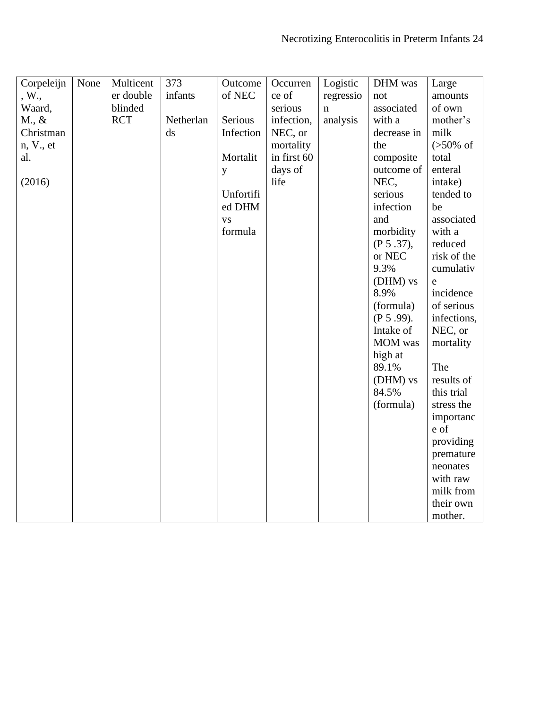| Corpeleijn      | None | Multicent  | 373                    | Outcome   | Occurren    | Logistic    | DHM was      | Large                |
|-----------------|------|------------|------------------------|-----------|-------------|-------------|--------------|----------------------|
| , W.,           |      | er double  | infants                | of NEC    | ce of       | regressio   | not          | amounts              |
| Waard,          |      | blinded    |                        |           | serious     | $\mathbf n$ | associated   | of own               |
| $M_{\cdot}$ , & |      | <b>RCT</b> | Netherlan              | Serious   | infection,  | analysis    | with a       | mother's             |
| Christman       |      |            | $\mathrm{d}\mathrm{s}$ | Infection | NEC, or     |             | decrease in  | milk                 |
| n, V., et       |      |            |                        |           | mortality   |             | the          | $(>50\% \text{ of }$ |
| al.             |      |            |                        | Mortalit  | in first 60 |             | composite    | total                |
|                 |      |            |                        |           | days of     |             | outcome of   | enteral              |
|                 |      |            |                        | y         | life        |             | NEC,         |                      |
| (2016)          |      |            |                        |           |             |             |              | intake)              |
|                 |      |            |                        | Unfortifi |             |             | serious      | tended to            |
|                 |      |            |                        | ed DHM    |             |             | infection    | be                   |
|                 |      |            |                        | <b>VS</b> |             |             | and          | associated           |
|                 |      |            |                        | formula   |             |             | morbidity    | with a               |
|                 |      |            |                        |           |             |             | (P 5.37),    | reduced              |
|                 |      |            |                        |           |             |             | or NEC       | risk of the          |
|                 |      |            |                        |           |             |             | 9.3%         | cumulativ            |
|                 |      |            |                        |           |             |             | (DHM) vs     | e                    |
|                 |      |            |                        |           |             |             | 8.9%         | incidence            |
|                 |      |            |                        |           |             |             | (formula)    | of serious           |
|                 |      |            |                        |           |             |             | $(P 5.99)$ . | infections,          |
|                 |      |            |                        |           |             |             | Intake of    | NEC, or              |
|                 |      |            |                        |           |             |             | MOM was      | mortality            |
|                 |      |            |                        |           |             |             | high at      |                      |
|                 |      |            |                        |           |             |             | 89.1%        | The                  |
|                 |      |            |                        |           |             |             | (DHM) vs     | results of           |
|                 |      |            |                        |           |             |             | 84.5%        | this trial           |
|                 |      |            |                        |           |             |             | (formula)    | stress the           |
|                 |      |            |                        |           |             |             |              | importanc            |
|                 |      |            |                        |           |             |             |              | e of                 |
|                 |      |            |                        |           |             |             |              | providing            |
|                 |      |            |                        |           |             |             |              | premature            |
|                 |      |            |                        |           |             |             |              | neonates             |
|                 |      |            |                        |           |             |             |              | with raw             |
|                 |      |            |                        |           |             |             |              | milk from            |
|                 |      |            |                        |           |             |             |              | their own            |
|                 |      |            |                        |           |             |             |              | mother.              |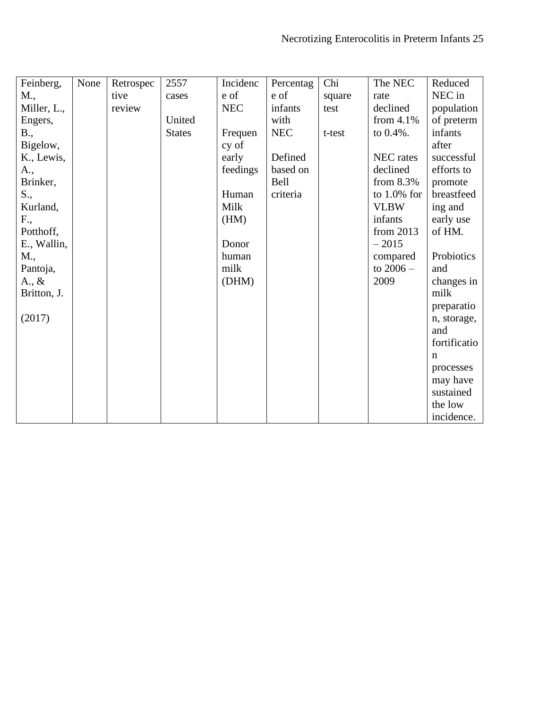| Feinberg,       | None | Retrospec | 2557          | Incidenc   | Percentag  | Chi    | The NEC        | Reduced      |
|-----------------|------|-----------|---------------|------------|------------|--------|----------------|--------------|
| M.,             |      | tive      | cases         | e of       | e of       | square | rate           | NEC in       |
| Miller, L.,     |      | review    |               | <b>NEC</b> | infants    | test   | declined       | population   |
| Engers,         |      |           | United        |            | with       |        | from $4.1\%$   | of preterm   |
| B.,             |      |           | <b>States</b> | Frequen    | <b>NEC</b> | t-test | to $0.4%$ .    | infants      |
| Bigelow,        |      |           |               | cy of      |            |        |                | after        |
| K., Lewis,      |      |           |               | early      | Defined    |        | NEC rates      | successful   |
| A.,             |      |           |               | feedings   | based on   |        | declined       | efforts to   |
| Brinker,        |      |           |               |            | Bell       |        | from $8.3\%$   | promote      |
| S.,             |      |           |               | Human      | criteria   |        | to $1.0\%$ for | breastfeed   |
| Kurland,        |      |           |               | Milk       |            |        | <b>VLBW</b>    | ing and      |
| F.,             |      |           |               | (HM)       |            |        | infants        | early use    |
| Potthoff,       |      |           |               |            |            |        | from $2013$    | of HM.       |
| E., Wallin,     |      |           |               | Donor      |            |        | $-2015$        |              |
| M.,             |      |           |               | human      |            |        | compared       | Probiotics   |
| Pantoja,        |      |           |               | milk       |            |        | to $2006 -$    | and          |
| $A_{\cdot}, \&$ |      |           |               | (DHM)      |            |        | 2009           | changes in   |
| Britton, J.     |      |           |               |            |            |        |                | milk         |
|                 |      |           |               |            |            |        |                | preparatio   |
| (2017)          |      |           |               |            |            |        |                | n, storage,  |
|                 |      |           |               |            |            |        |                | and          |
|                 |      |           |               |            |            |        |                | fortificatio |
|                 |      |           |               |            |            |        |                | n            |
|                 |      |           |               |            |            |        |                | processes    |
|                 |      |           |               |            |            |        |                | may have     |
|                 |      |           |               |            |            |        |                | sustained    |
|                 |      |           |               |            |            |        |                | the low      |
|                 |      |           |               |            |            |        |                | incidence.   |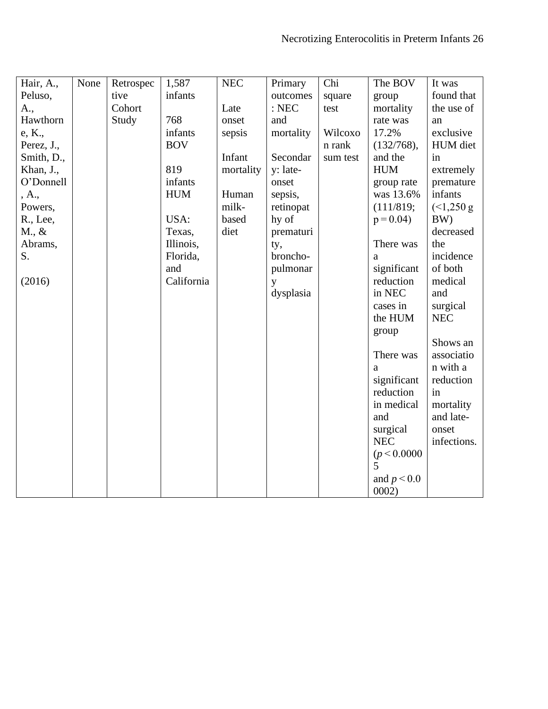| Hair, A.,       | None | Retrospec | 1,587      | NEC       | Primary   | Chi      | The BOV       | It was      |
|-----------------|------|-----------|------------|-----------|-----------|----------|---------------|-------------|
| Peluso,         |      | tive      | infants    |           | outcomes  | square   | group         | found that  |
| A.,             |      | Cohort    |            | Late      | :NEC      | test     | mortality     | the use of  |
| Hawthorn        |      | Study     | 768        | onset     | and       |          | rate was      | an          |
| e, K.,          |      |           | infants    | sepsis    | mortality | Wilcoxo  | 17.2%         | exclusive   |
| Perez, J.,      |      |           | <b>BOV</b> |           |           | n rank   | (132/768),    | HUM diet    |
| Smith, D.,      |      |           |            | Infant    | Secondar  | sum test | and the       | in          |
| Khan, J.,       |      |           | 819        | mortality | y: late-  |          | <b>HUM</b>    | extremely   |
| O'Donnell       |      |           | infants    |           | onset     |          | group rate    | premature   |
| , A.,           |      |           | <b>HUM</b> | Human     | sepsis,   |          | was 13.6%     | infants     |
| Powers,         |      |           |            | milk-     | retinopat |          | (111/819;     | (<1,250 g   |
| R., Lee,        |      |           | USA:       | based     | hy of     |          | $p = 0.04$    | BW)         |
| $M_{\cdot}$ , & |      |           | Texas,     | diet      | prematuri |          |               | decreased   |
| Abrams,         |      |           | Illinois,  |           | ty,       |          | There was     | the         |
| S.              |      |           | Florida,   |           | broncho-  |          | a             | incidence   |
|                 |      |           | and        |           | pulmonar  |          | significant   | of both     |
| (2016)          |      |           | California |           | y         |          | reduction     | medical     |
|                 |      |           |            |           | dysplasia |          | in NEC        | and         |
|                 |      |           |            |           |           |          | cases in      | surgical    |
|                 |      |           |            |           |           |          | the HUM       | <b>NEC</b>  |
|                 |      |           |            |           |           |          | group         |             |
|                 |      |           |            |           |           |          |               | Shows an    |
|                 |      |           |            |           |           |          | There was     | associatio  |
|                 |      |           |            |           |           |          | a             | n with a    |
|                 |      |           |            |           |           |          | significant   | reduction   |
|                 |      |           |            |           |           |          | reduction     | in          |
|                 |      |           |            |           |           |          | in medical    | mortality   |
|                 |      |           |            |           |           |          | and           | and late-   |
|                 |      |           |            |           |           |          | surgical      | onset       |
|                 |      |           |            |           |           |          | <b>NEC</b>    | infections. |
|                 |      |           |            |           |           |          | (p < 0.0000   |             |
|                 |      |           |            |           |           |          | 5             |             |
|                 |      |           |            |           |           |          | and $p < 0.0$ |             |
|                 |      |           |            |           |           |          | 0002)         |             |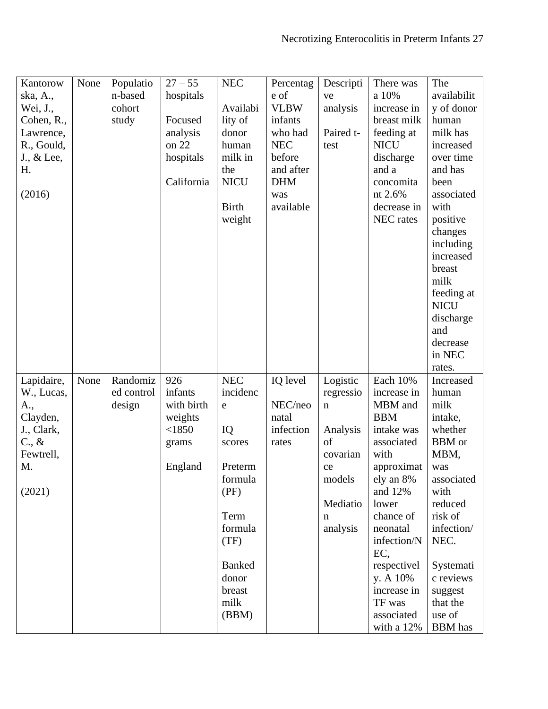| Kantorow               | None | Populatio  | $27 - 55$         | $\rm{NEC}$    | Percentag        | Descripti   | There was                | The                      |
|------------------------|------|------------|-------------------|---------------|------------------|-------------|--------------------------|--------------------------|
| ska, A.,               |      | n-based    | hospitals         |               | e of             | ve          | a 10%                    | availabilit              |
| Wei, J.,               |      | cohort     |                   | Availabi      | <b>VLBW</b>      | analysis    | increase in              | y of donor               |
| Cohen, R.,             |      | study      | Focused           | lity of       | infants          |             | breast milk              | human                    |
| Lawrence,              |      |            | analysis          | donor         | who had          | Paired t-   | feeding at               | milk has                 |
| R., Gould,             |      |            | on 22             | human         | <b>NEC</b>       | test        | <b>NICU</b>              | increased                |
| J., & Lee,             |      |            | hospitals         | milk in       | before           |             | discharge                | over time                |
| Η.                     |      |            |                   | the           | and after        |             | and a                    | and has                  |
|                        |      |            | California        | <b>NICU</b>   | <b>DHM</b>       |             | concomita                | been                     |
| (2016)                 |      |            |                   |               | was              |             | nt 2.6%                  | associated               |
|                        |      |            |                   | <b>Birth</b>  | available        |             | decrease in              | with                     |
|                        |      |            |                   | weight        |                  |             | NEC rates                | positive                 |
|                        |      |            |                   |               |                  |             |                          | changes<br>including     |
|                        |      |            |                   |               |                  |             |                          | increased                |
|                        |      |            |                   |               |                  |             |                          | breast                   |
|                        |      |            |                   |               |                  |             |                          | milk                     |
|                        |      |            |                   |               |                  |             |                          | feeding at               |
|                        |      |            |                   |               |                  |             |                          | <b>NICU</b>              |
|                        |      |            |                   |               |                  |             |                          | discharge                |
|                        |      |            |                   |               |                  |             |                          | and                      |
|                        |      |            |                   |               |                  |             |                          | decrease                 |
|                        |      |            |                   |               |                  |             |                          | in NEC                   |
|                        |      |            |                   |               |                  |             |                          | rates.                   |
| Lapidaire,             | None | Randomiz   | 926               | <b>NEC</b>    | IQ level         | Logistic    | Each 10%                 | Increased                |
| W., Lucas,             |      | ed control | infants           | incidenc      |                  | regressio   | increase in              | human                    |
| A.,                    |      | design     | with birth        | e             | NEC/neo<br>natal | $\mathbf n$ | MBM and<br><b>BBM</b>    | milk<br>intake,          |
| Clayden,<br>J., Clark, |      |            | weights<br>< 1850 | IQ            | infection        | Analysis    | intake was               | whether                  |
| $C_{\cdot}, \&$        |      |            | grams             | scores        | rates            | of          | associated               | <b>BBM</b> or            |
| Fewtrell,              |      |            |                   |               |                  | covarian    | with                     | MBM,                     |
| M.                     |      |            | England           | Preterm       |                  | ce          | approximat               | was                      |
|                        |      |            |                   | formula       |                  | models      | ely an 8%                | associated               |
| (2021)                 |      |            |                   | (PF)          |                  |             | and 12%                  | with                     |
|                        |      |            |                   |               |                  | Mediatio    | lower                    | reduced                  |
|                        |      |            |                   | Term          |                  | n           | chance of                | risk of                  |
|                        |      |            |                   | formula       |                  | analysis    | neonatal                 | infection/               |
|                        |      |            |                   | (TF)          |                  |             | infection/N              | NEC.                     |
|                        |      |            |                   |               |                  |             | EC,                      |                          |
|                        |      |            |                   | <b>Banked</b> |                  |             | respectivel              | Systemati                |
|                        |      |            |                   | donor         |                  |             | y. A 10%                 | c reviews                |
|                        |      |            |                   | breast        |                  |             | increase in              | suggest                  |
|                        |      |            |                   |               |                  |             |                          |                          |
|                        |      |            |                   | milk          |                  |             | TF was                   | that the                 |
|                        |      |            |                   | (BBM)         |                  |             | associated<br>with a 12% | use of<br><b>BBM</b> has |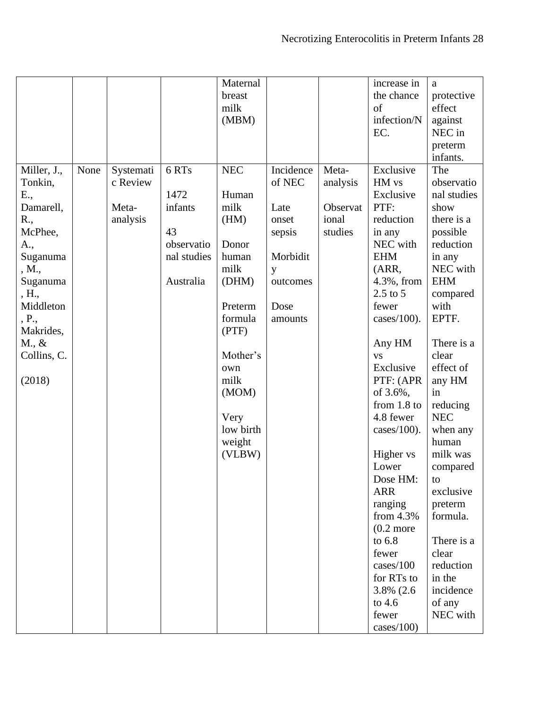|                 |      |           |             | Maternal   |           |          | increase in          | a           |
|-----------------|------|-----------|-------------|------------|-----------|----------|----------------------|-------------|
|                 |      |           |             | breast     |           |          | the chance           | protective  |
|                 |      |           |             | milk       |           |          | of                   | effect      |
|                 |      |           |             | (MBM)      |           |          | infection/N          | against     |
|                 |      |           |             |            |           |          | EC.                  | NEC in      |
|                 |      |           |             |            |           |          |                      |             |
|                 |      |           |             |            |           |          |                      | preterm     |
|                 |      |           |             |            |           |          |                      | infants.    |
| Miller, J.,     | None | Systemati | 6 RTs       | <b>NEC</b> | Incidence | Meta-    | Exclusive            | The         |
| Tonkin,         |      | c Review  |             |            | of NEC    | analysis | HM vs                | observatio  |
| E.,             |      |           | 1472        | Human      |           |          | Exclusive            | nal studies |
| Damarell,       |      | Meta-     | infants     | milk       | Late      | Observat | PTF:                 | show        |
| R.,             |      | analysis  |             | (HM)       | onset     | ional    | reduction            | there is a  |
| McPhee,         |      |           | 43          |            | sepsis    | studies  | in any               | possible    |
| A.,             |      |           | observatio  | Donor      |           |          | NEC with             | reduction   |
| Suganuma        |      |           | nal studies | human      | Morbidit  |          | <b>EHM</b>           | in any      |
| , M.,           |      |           |             | milk       | y         |          | (ARR,                | NEC with    |
| Suganuma        |      |           | Australia   | (DHM)      | outcomes  |          | 4.3%, from           | <b>EHM</b>  |
| , H.,           |      |           |             |            |           |          | $2.5$ to $5$         | compared    |
| Middleton       |      |           |             | Preterm    | Dose      |          | fewer                | with        |
|                 |      |           |             |            |           |          |                      |             |
| , P.,           |      |           |             | formula    | amounts   |          | cases/ $100$ ).      | EPTF.       |
| Makrides,       |      |           |             | (PTF)      |           |          |                      |             |
| $M_{\cdot}, \&$ |      |           |             |            |           |          | Any HM               | There is a  |
| Collins, C.     |      |           |             | Mother's   |           |          | <b>VS</b>            | clear       |
|                 |      |           |             | own        |           |          | Exclusive            | effect of   |
| (2018)          |      |           |             | milk       |           |          | PTF: (APR            | any HM      |
|                 |      |           |             | (MOM)      |           |          | of 3.6%,             | in          |
|                 |      |           |             |            |           |          | from $1.8$ to        | reducing    |
|                 |      |           |             | Very       |           |          | 4.8 fewer            | <b>NEC</b>  |
|                 |      |           |             | low birth  |           |          | cases/100).          | when any    |
|                 |      |           |             | weight     |           |          |                      | human       |
|                 |      |           |             | (VLBW)     |           |          | Higher vs            | milk was    |
|                 |      |           |             |            |           |          | Lower                | compared    |
|                 |      |           |             |            |           |          | Dose HM:             | to          |
|                 |      |           |             |            |           |          | <b>ARR</b>           | exclusive   |
|                 |      |           |             |            |           |          | ranging              | preterm     |
|                 |      |           |             |            |           |          | from $4.3\%$         | formula.    |
|                 |      |           |             |            |           |          |                      |             |
|                 |      |           |             |            |           |          | $(0.2 \text{ more})$ |             |
|                 |      |           |             |            |           |          | to 6.8               | There is a  |
|                 |      |           |             |            |           |          | fewer                | clear       |
|                 |      |           |             |            |           |          | cases/100            | reduction   |
|                 |      |           |             |            |           |          | for RTs to           | in the      |
|                 |      |           |             |            |           |          | 3.8% (2.6)           | incidence   |
|                 |      |           |             |            |           |          | to $4.6$             | of any      |
|                 |      |           |             |            |           |          | fewer                | NEC with    |
|                 |      |           |             |            |           |          | cases/100)           |             |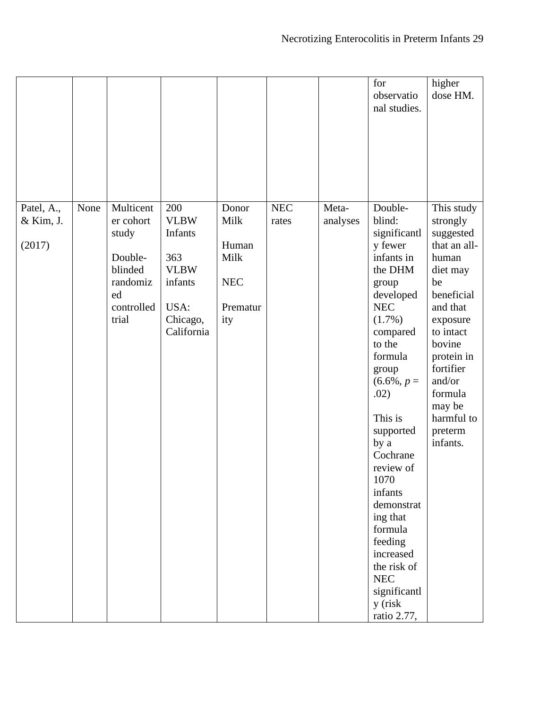|                                   |      |                                                                                                |                                                                                                  |                                                                 |                     |                   | for<br>observatio<br>nal studies.                                                                                                                                                                                                                                                                                                                                                               | higher<br>dose HM.                                                                                                                                                                                                                         |
|-----------------------------------|------|------------------------------------------------------------------------------------------------|--------------------------------------------------------------------------------------------------|-----------------------------------------------------------------|---------------------|-------------------|-------------------------------------------------------------------------------------------------------------------------------------------------------------------------------------------------------------------------------------------------------------------------------------------------------------------------------------------------------------------------------------------------|--------------------------------------------------------------------------------------------------------------------------------------------------------------------------------------------------------------------------------------------|
| Patel, A.,<br>& Kim, J.<br>(2017) | None | Multicent<br>er cohort<br>study<br>Double-<br>blinded<br>randomiz<br>ed<br>controlled<br>trial | 200<br><b>VLBW</b><br>Infants<br>363<br><b>VLBW</b><br>infants<br>USA:<br>Chicago,<br>California | Donor<br>Milk<br>Human<br>Milk<br><b>NEC</b><br>Prematur<br>ity | $\rm{NEC}$<br>rates | Meta-<br>analyses | Double-<br>blind:<br>significantl<br>y fewer<br>infants in<br>the DHM<br>group<br>developed<br><b>NEC</b><br>(1.7%)<br>compared<br>to the<br>formula<br>group<br>$(6.6\%, p =$<br>.02)<br>This is<br>supported<br>by a<br>Cochrane<br>review of<br>1070<br>infants<br>demonstrat<br>ing that<br>formula<br>feeding<br>increased<br>the risk of<br>NEC<br>significantl<br>y (risk<br>ratio 2.77, | This study<br>strongly<br>suggested<br>that an all-<br>human<br>diet may<br>be<br>beneficial<br>and that<br>exposure<br>to intact<br>bovine<br>protein in<br>fortifier<br>and/or<br>formula<br>may be<br>harmful to<br>preterm<br>infants. |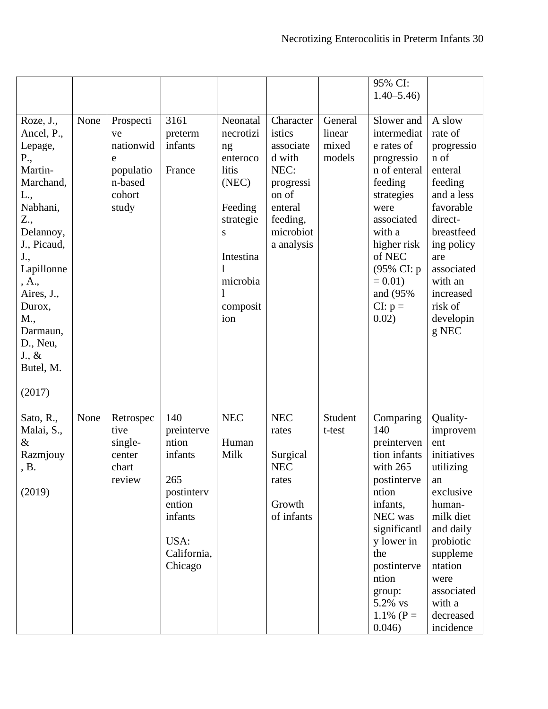|                                                                                                                                                                                                                                                        |      |                                                                              |                                                                                                                   |                                                                                                                                              |                                                                                                                            |                                      | 95% CI:<br>$1.40 - 5.46$                                                                                                                                                                                               |                                                                                                                                                                                                               |
|--------------------------------------------------------------------------------------------------------------------------------------------------------------------------------------------------------------------------------------------------------|------|------------------------------------------------------------------------------|-------------------------------------------------------------------------------------------------------------------|----------------------------------------------------------------------------------------------------------------------------------------------|----------------------------------------------------------------------------------------------------------------------------|--------------------------------------|------------------------------------------------------------------------------------------------------------------------------------------------------------------------------------------------------------------------|---------------------------------------------------------------------------------------------------------------------------------------------------------------------------------------------------------------|
| Roze, J.,<br>Ancel, P.,<br>Lepage,<br>P.,<br>Martin-<br>Marchand,<br>L.,<br>Nabhani,<br>Z.,<br>Delannoy,<br>J., Picaud,<br>J.,<br>Lapillonne<br>, A.,<br>Aires, J.,<br>Durox,<br>M.,<br>Darmaun,<br>D., Neu,<br>$J_{\cdot}, \&$<br>Butel, M.<br>(2017) | None | Prospecti<br>ve<br>nationwid<br>e<br>populatio<br>n-based<br>cohort<br>study | 3161<br>preterm<br>infants<br>France                                                                              | Neonatal<br>necrotizi<br>ng<br>enteroco<br>litis<br>(NEC)<br>Feeding<br>strategie<br>S<br>Intestina<br>1<br>microbia<br>1<br>composit<br>ion | Character<br>istics<br>associate<br>d with<br>NEC:<br>progressi<br>on of<br>enteral<br>feeding,<br>microbiot<br>a analysis | General<br>linear<br>mixed<br>models | Slower and<br>intermediat<br>e rates of<br>progressio<br>n of enteral<br>feeding<br>strategies<br>were<br>associated<br>with a<br>higher risk<br>of NEC<br>(95% CI: p<br>$= 0.01$<br>and (95%)<br>$CI: p =$<br>0.02)   | A slow<br>rate of<br>progressio<br>n of<br>enteral<br>feeding<br>and a less<br>favorable<br>direct-<br>breastfeed<br>ing policy<br>are<br>associated<br>with an<br>increased<br>risk of<br>developin<br>g NEC |
| Sato, R.,<br>Malai, S.,<br>&<br>Razmjouy<br>, B.<br>(2019)                                                                                                                                                                                             | None | Retrospec<br>tive<br>single-<br>center<br>chart<br>review                    | 140<br>preinterve<br>ntion<br>infants<br>265<br>postintery<br>ention<br>infants<br>USA:<br>California,<br>Chicago | <b>NEC</b><br>Human<br>Milk                                                                                                                  | <b>NEC</b><br>rates<br>Surgical<br><b>NEC</b><br>rates<br>Growth<br>of infants                                             | Student<br>t-test                    | Comparing<br>140<br>preinterven<br>tion infants<br>with 265<br>postinterve<br>ntion<br>infants,<br>NEC was<br>significantl<br>y lower in<br>the<br>postinterve<br>ntion<br>group:<br>5.2% vs<br>1.1% ( $P =$<br>0.046) | Quality-<br>improvem<br>ent<br>initiatives<br>utilizing<br>an<br>exclusive<br>human-<br>milk diet<br>and daily<br>probiotic<br>suppleme<br>ntation<br>were<br>associated<br>with a<br>decreased<br>incidence  |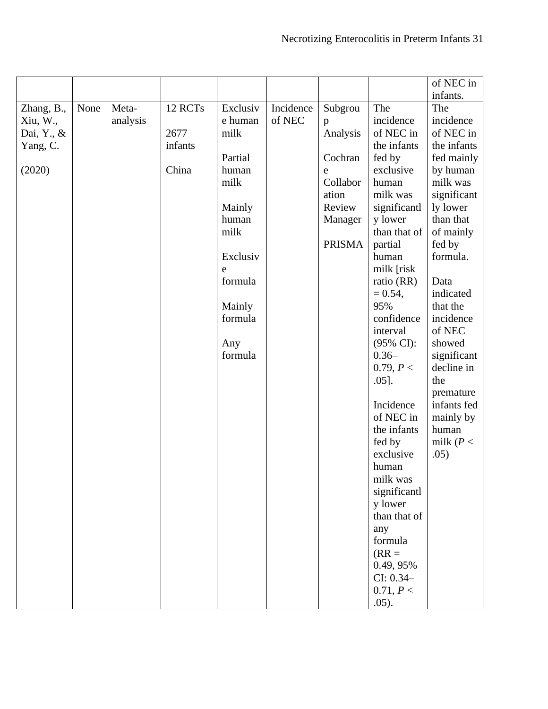|            |      |          |         |          |           |               |                       | of NEC in    |
|------------|------|----------|---------|----------|-----------|---------------|-----------------------|--------------|
|            |      |          |         |          |           |               |                       | infants.     |
| Zhang, B., | None | Meta-    | 12 RCTs | Exclusiv | Incidence | Subgrou       | The                   | The          |
| Xiu, W.,   |      | analysis |         | e human  | of NEC    | p             | incidence             | incidence    |
| Dai, Y., & |      |          | 2677    | milk     |           | Analysis      | of NEC in             | of NEC in    |
| Yang, C.   |      |          | infants |          |           |               | the infants           | the infants  |
|            |      |          |         | Partial  |           | Cochran       | fed by                | fed mainly   |
| (2020)     |      |          | China   | human    |           | e             | exclusive             | by human     |
|            |      |          |         | milk     |           | Collabor      | human                 | milk was     |
|            |      |          |         |          |           | ation         | milk was              | significant  |
|            |      |          |         | Mainly   |           | Review        | significantl          | ly lower     |
|            |      |          |         | human    |           | Manager       | y lower               | than that    |
|            |      |          |         | milk     |           |               | than that of          | of mainly    |
|            |      |          |         |          |           | <b>PRISMA</b> | partial               | fed by       |
|            |      |          |         | Exclusiv |           |               | human                 | formula.     |
|            |      |          |         | e        |           |               | milk [risk            |              |
|            |      |          |         | formula  |           |               | ratio (RR)            | Data         |
|            |      |          |         |          |           |               | $= 0.54,$             | indicated    |
|            |      |          |         | Mainly   |           |               | 95%                   | that the     |
|            |      |          |         | formula  |           |               | confidence            | incidence    |
|            |      |          |         |          |           |               | interval              | of NEC       |
|            |      |          |         | Any      |           |               | $(95\% \text{ CI})$ : | showed       |
|            |      |          |         | formula  |           |               | $0.36 -$              | significant  |
|            |      |          |         |          |           |               | 0.79, P <             | decline in   |
|            |      |          |         |          |           |               | $.05$ ].              | the          |
|            |      |          |         |          |           |               |                       | premature    |
|            |      |          |         |          |           |               | Incidence             | infants fed  |
|            |      |          |         |          |           |               | of NEC in             | mainly by    |
|            |      |          |         |          |           |               | the infants           | human        |
|            |      |          |         |          |           |               | fed by                | milk ( $P <$ |
|            |      |          |         |          |           |               | exclusive             | .05)         |
|            |      |          |         |          |           |               | human                 |              |
|            |      |          |         |          |           |               | milk was              |              |
|            |      |          |         |          |           |               | significantl          |              |
|            |      |          |         |          |           |               | y lower               |              |
|            |      |          |         |          |           |               | than that of          |              |
|            |      |          |         |          |           |               | any                   |              |
|            |      |          |         |          |           |               | formula               |              |
|            |      |          |         |          |           |               | $(RR =$               |              |
|            |      |          |         |          |           |               | 0.49, 95%             |              |
|            |      |          |         |          |           |               | $CI: 0.34-$           |              |
|            |      |          |         |          |           |               | 0.71, P <             |              |
|            |      |          |         |          |           |               | .05).                 |              |